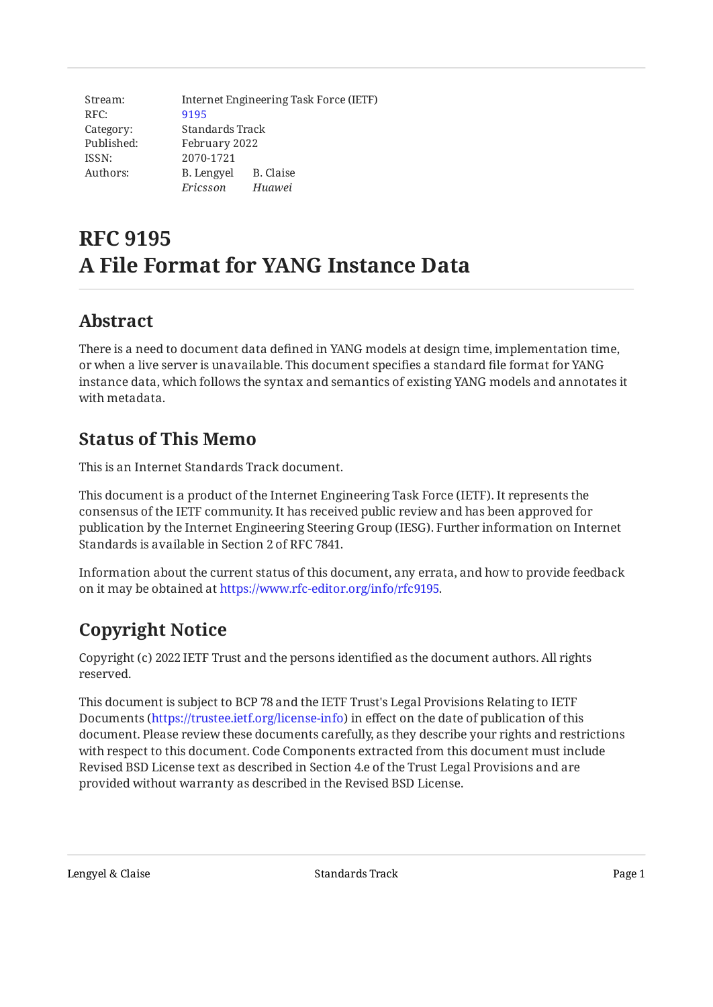| Stream:    | Internet Engineering Task Force (IETF) |           |
|------------|----------------------------------------|-----------|
| RFC:       | 9195                                   |           |
| Category:  | Standards Track                        |           |
| Published: | February 2022                          |           |
| ISSN:      | 2070-1721                              |           |
| Authors:   | B. Lengyel                             | B. Claise |
|            | Ericsson                               | Huawei    |

# **RFC 9195 A File Format for YANG Instance Data**

## <span id="page-0-0"></span>**[Abstract](#page-0-0)**

There is a need to document data defined in YANG models at design time, implementation time, or when a live server is unavailable. This document specifies a standard file format for YANG instance data, which follows the syntax and semantics of existing YANG models and annotates it with metadata.

## <span id="page-0-1"></span>**[Status of This Memo](#page-0-1)**

This is an Internet Standards Track document.

This document is a product of the Internet Engineering Task Force (IETF). It represents the consensus of the IETF community. It has received public review and has been approved for publication by the Internet Engineering Steering Group (IESG). Further information on Internet Standards is available in Section 2 of RFC 7841.

Information about the current status of this document, any errata, and how to provide feedback on it may be obtained at [https://www.rfc-editor.org/info/rfc9195.](https://www.rfc-editor.org/info/rfc9195)

# <span id="page-0-2"></span>**[Copyright Notice](#page-0-2)**

Copyright (c) 2022 IETF Trust and the persons identified as the document authors. All rights reserved.

This document is subject to BCP 78 and the IETF Trust's Legal Provisions Relating to IETF Documents (<https://trustee.ietf.org/license-info>) in effect on the date of publication of this document. Please review these documents carefully, as they describe your rights and restrictions with respect to this document. Code Components extracted from this document must include Revised BSD License text as described in Section 4.e of the Trust Legal Provisions and are provided without warranty as described in the Revised BSD License.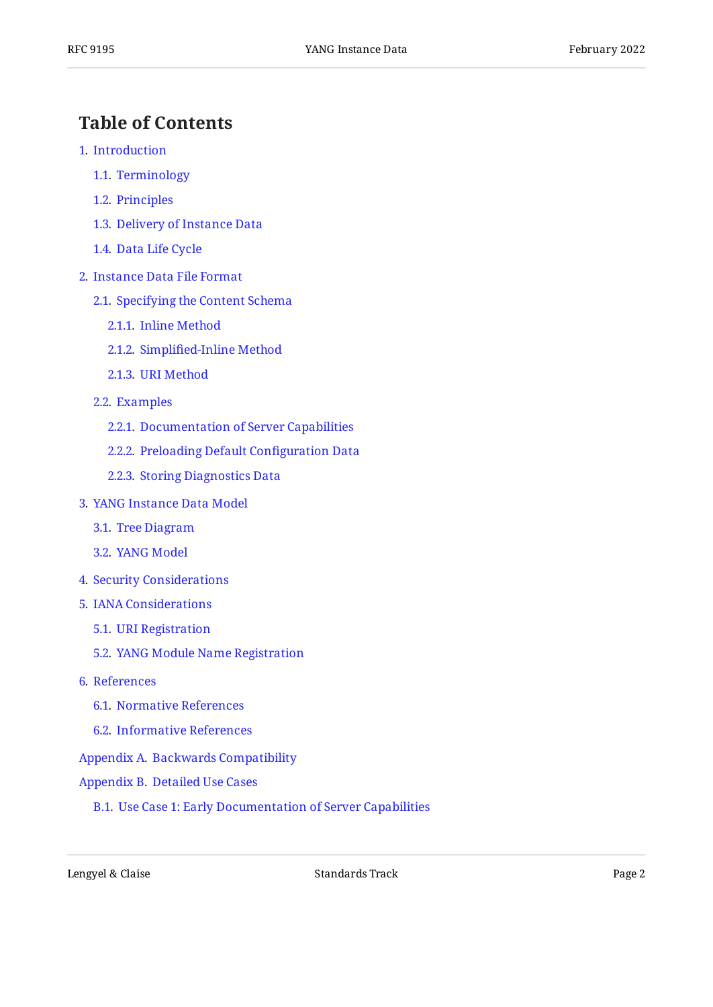## <span id="page-1-0"></span>**[Table of Contents](#page-1-0)**

- [1](#page-2-0). [Introduction](#page-2-0)
	- [1.1.](#page-2-1) [Terminology](#page-2-1)
	- [1.2.](#page-3-0) [Principles](#page-3-0)
	- [1.3.](#page-3-1) [Delivery of Instance Data](#page-3-1)
	- [1.4.](#page-3-2) [Data Life Cycle](#page-3-2)
- [2](#page-4-0). [Instance Data File Format](#page-4-0)
	- [2.1.](#page-5-0) [Specifying the Content Schema](#page-5-0)
		- [2.1.1](#page-6-0). [Inline Method](#page-6-0)
		- [2.1.2](#page-6-1). Simplifi[ed-Inline Method](#page-6-1)
		- [2.1.3](#page-6-2). [URI Method](#page-6-2)
	- [2.2.](#page-6-3) [Examples](#page-6-3)
		- [2.2.1](#page-6-4). [Documentation of Server Capabilities](#page-6-4)
		- [2.2.2](#page-9-0). [Preloading Default Con](#page-9-0)figuration Data
		- [2.2.3](#page-10-0). [Storing Diagnostics Data](#page-10-0)
- [3](#page-11-0). [YANG Instance Data Model](#page-11-0)
	- [3.1.](#page-11-1) [Tree Diagram](#page-11-1)
	- [3.2.](#page-12-0) [YANG Model](#page-12-0)
- [4](#page-17-0). [Security Considerations](#page-17-0)
- [5](#page-18-0). [IANA Considerations](#page-18-0)
	- [5.1.](#page-18-1) [URI Registration](#page-18-1)
	- [5.2.](#page-18-2) [YANG Module Name Registration](#page-18-2)
- [6](#page-19-0). [References](#page-19-0)
	- [6.1.](#page-19-1) [Normative References](#page-19-1)
	- [6.2.](#page-20-0) [Informative References](#page-20-0)
- [Appendix A.](#page-20-1) [Backwards Compatibility](#page-20-1)
- [Appendix B.](#page-21-0) [Detailed Use Cases](#page-21-0)
	- [B.1](#page-21-1). [Use Case 1: Early Documentation of Server Capabilities](#page-21-1)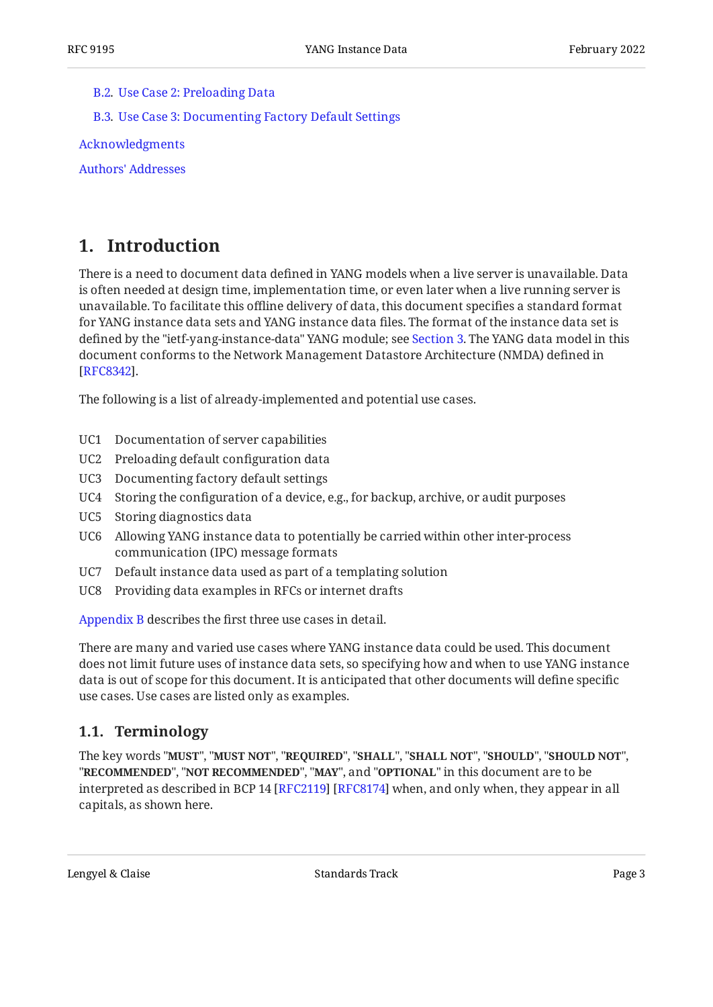#### [B.2](#page-22-0). [Use Case 2: Preloading Data](#page-22-0)

[B.3](#page-22-1). [Use Case 3: Documenting Factory Default Settings](#page-22-1)

[Acknowledgments](#page-22-2)

[Authors' Addresses](#page-22-3)

## <span id="page-2-0"></span>**[1. Introduction](#page-2-0)**

There is a need to document data defined in YANG models when a live server is unavailable. Data is often needed at design time, implementation time, or even later when a live running server is unavailable. To facilitate this offline delivery of data, this document specifies a standard format for YANG instance data sets and YANG instance data files. The format of the instance data set is defined by the "ietf-yang-instance-data" YANG module; see [Section 3.](#page-11-0) The YANG data model in this document conforms to the Network Management Datastore Architecture (NMDA) defined in . [[RFC8342\]](#page-19-2)

The following is a list of already-implemented and potential use cases.

- <span id="page-2-5"></span>UC1 Documentation of server capabilities
- <span id="page-2-3"></span>UC2 Preloading default configuration data
- UC3 Documenting factory default settings
- UC4 Storing the configuration of a device, e.g., for backup, archive, or audit purposes
- <span id="page-2-2"></span>UC5 Storing diagnostics data
- <span id="page-2-4"></span>UC6 Allowing YANG instance data to potentially be carried within other inter-process communication (IPC) message formats
- UC7 Default instance data used as part of a templating solution
- UC8 Providing data examples in RFCs or internet drafts

[Appendix B](#page-21-0) describes the first three use cases in detail.

There are many and varied use cases where YANG instance data could be used. This document does not limit future uses of instance data sets, so specifying how and when to use YANG instance data is out of scope for this document. It is anticipated that other documents will define specific use cases. Use cases are listed only as examples.

#### <span id="page-2-1"></span>**[1.1. Terminology](#page-2-1)**

The key words "MUST", "MUST NOT", "REQUIRED", "SHALL", "SHALL NOT", "SHOULD", "SHOULD NOT", "**RECOMMENDED", "NOT RECOMMENDED", "MAY",** and "OPTIONAL" in this document are to be interpreted as described in BCP 14 [RFC2119] [RFC8174] when, and only when, they appear in all capitals, as shown here.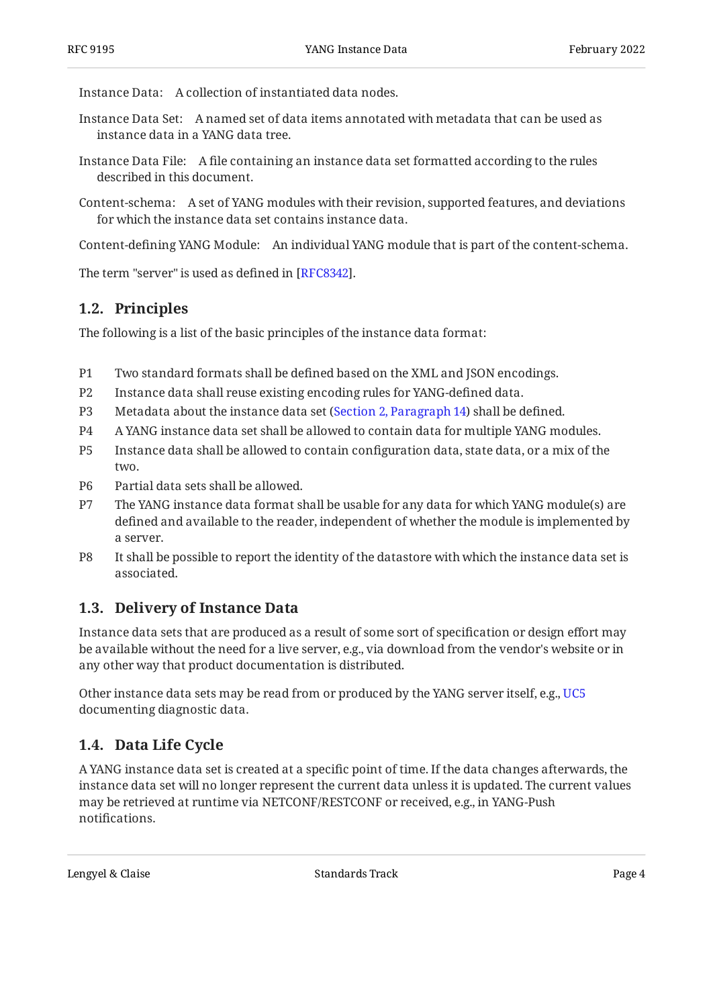Instance Data: A collection of instantiated data nodes.

- Instance Data Set: A named set of data items annotated with metadata that can be used as instance data in a YANG data tree.
- Instance Data File: A file containing an instance data set formatted according to the rules described in this document.
- Content-schema: A set of YANG modules with their revision, supported features, and deviations for which the instance data set contains instance data.

Content-defining YANG Module: An individual YANG module that is part of the content-schema.

<span id="page-3-0"></span>The term "server" is used as defined in [\[RFC8342\]](#page-19-2).

## **[1.2. Principles](#page-3-0)**

The following is a list of the basic principles of the instance data format:

- P1 Two standard formats shall be defined based on the XML and JSON encodings.
- P2 Instance data shall reuse existing encoding rules for YANG-defined data.
- P3 Metadata about the instance data set ([Section 2, Paragraph 14](#page-5-1)) shall be defined.
- P4 A YANG instance data set shall be allowed to contain data for multiple YANG modules.
- P5 Instance data shall be allowed to contain configuration data, state data, or a mix of the two.
- P6 Partial data sets shall be allowed.
- P7 The YANG instance data format shall be usable for any data for which YANG module(s) are defined and available to the reader, independent of whether the module is implemented by a server.
- P8 It shall be possible to report the identity of the datastore with which the instance data set is associated.

## <span id="page-3-1"></span>**[1.3. Delivery of Instance Data](#page-3-1)**

Instance data sets that are produced as a result of some sort of specification or design effort may be available without the need for a live server, e.g., via download from the vendor's website or in any other way that product documentation is distributed.

Other instance data sets may be read from or produced by the YANG server itself, e.g., [UC5](#page-2-2) documenting diagnostic data.

## <span id="page-3-2"></span>**[1.4. Data Life Cycle](#page-3-2)**

A YANG instance data set is created at a specific point of time. If the data changes afterwards, the instance data set will no longer represent the current data unless it is updated. The current values may be retrieved at runtime via NETCONF/RESTCONF or received, e.g., in YANG-Push notifications.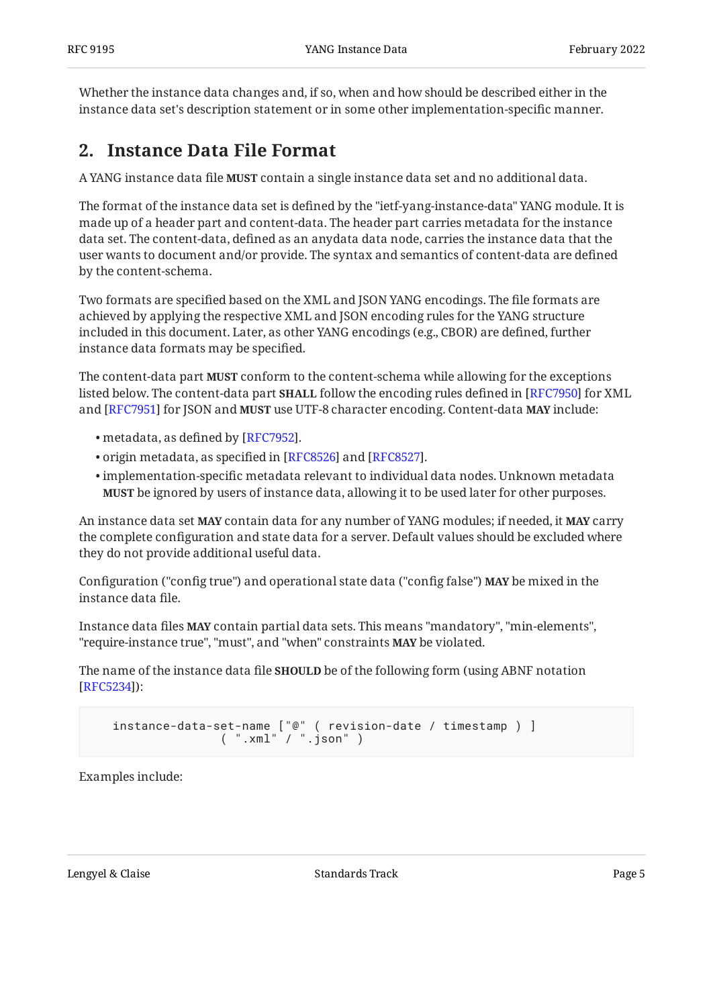<span id="page-4-0"></span>Whether the instance data changes and, if so, when and how should be described either in the instance data set's description statement or in some other implementation-specific manner.

## **[2. Instance Data File Format](#page-4-0)**

A YANG instance data file **MUST** contain a single instance data set and no additional data.

The format of the instance data set is defined by the "ietf-yang-instance-data" YANG module. It is made up of a header part and content-data. The header part carries metadata for the instance data set. The content-data, defined as an anydata data node, carries the instance data that the user wants to document and/or provide. The syntax and semantics of content-data are defined by the content-schema.

Two formats are specified based on the XML and JSON YANG encodings. The file formats are achieved by applying the respective XML and JSON encoding rules for the YANG structure included in this document. Later, as other YANG encodings (e.g., CBOR) are defined, further instance data formats may be specified.

The content-data part **MUST** conform to the content-schema while allowing for the exceptions listed below. The content-data part **SHALL** follow the encoding rules defined in [RFC7950] for XML and [RFC7951] for JSON and MUST use UTF-8 character encoding. Content-data MAY include:

- $\bullet$  metadata, as defined by [RFC7952].
- $\bullet$  origin metadata, as specified in [RFC8526] and [RFC8527].
- $\bullet$  implementation-specific metadata relevant to individual data nodes. Unknown metadata be ignored by users of instance data, allowing it to be used later for other purposes. **MUST**

An instance data set **MAY** contain data for any number of YANG modules; if needed, it **MAY** carry the complete configuration and state data for a server. Default values should be excluded where they do not provide additional useful data.

Configuration ("config true") and operational state data ("config false") **MAY** be mixed in the instance data file.

Instance data files **MAY** contain partial data sets. This means "mandatory", "min-elements", "require-instance true", "must", and "when" constraints **MAY** be violated.

The name of the instance data file **SHOULD** be of the following form (using ABNF notation ): [[RFC5234\]](#page-19-9)

 instance-data-set-name ["@" ( revision-date / timestamp ) ] ( ".xml" / ".json" )

Examples include: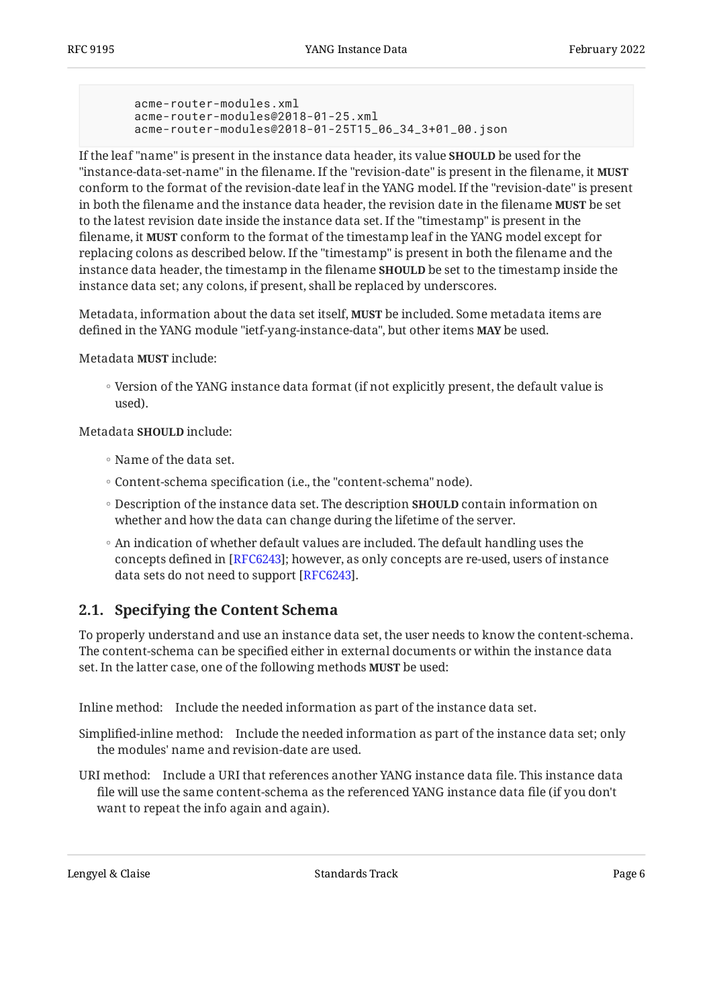```
 acme-router-modules.xml
 acme-router-modules@2018-01-25.xml
 acme-router-modules@2018-01-25T15_06_34_3+01_00.json
```
If the leaf "name" is present in the instance data header, its value **SHOULD** be used for the "instance-data-set-name" in the filename. If the "revision-date" is present in the filename, it **MUST** conform to the format of the revision-date leaf in the YANG model. If the "revision-date" is present in both the filename and the instance data header, the revision date in the filename **MUST** be set to the latest revision date inside the instance data set. If the "timestamp" is present in the filename, it **MUST** conform to the format of the timestamp leaf in the YANG model except for replacing colons as described below. If the "timestamp" is present in both the filename and the instance data header, the timestamp in the filename **SHOULD** be set to the timestamp inside the instance data set; any colons, if present, shall be replaced by underscores.

<span id="page-5-1"></span>Metadata, information about the data set itself, **MUST** be included. Some metadata items are defined in the YANG module "ietf-yang-instance-data", but other items **MAY** be used.

Metadata MUST include:

◦ Version of the YANG instance data format (if not explicitly present, the default value is used).

Metadata **SHOULD** include:

- Name of the data set.
- Content-schema specification (i.e., the "content-schema" node).
- Description of the instance data set. The description **SHOULD** contain information on whether and how the data can change during the lifetime of the server.
- An indication of whether default values are included. The default handling uses the concepts defined in [[RFC6243\]](#page-19-10); however, as only concepts are re-used, users of instance data sets do not need to support [\[RFC6243](#page-19-10)].

### <span id="page-5-0"></span>**[2.1. Specifying the Content Schema](#page-5-0)**

To properly understand and use an instance data set, the user needs to know the content-schema. The content-schema can be specified either in external documents or within the instance data set. In the latter case, one of the following methods **MUST** be used:

Inline method: Include the needed information as part of the instance data set.

Simplified-inline method: Include the needed information as part of the instance data set; only the modules' name and revision-date are used.

URI method: Include a URI that references another YANG instance data file. This instance data file will use the same content-schema as the referenced YANG instance data file (if you don't want to repeat the info again and again).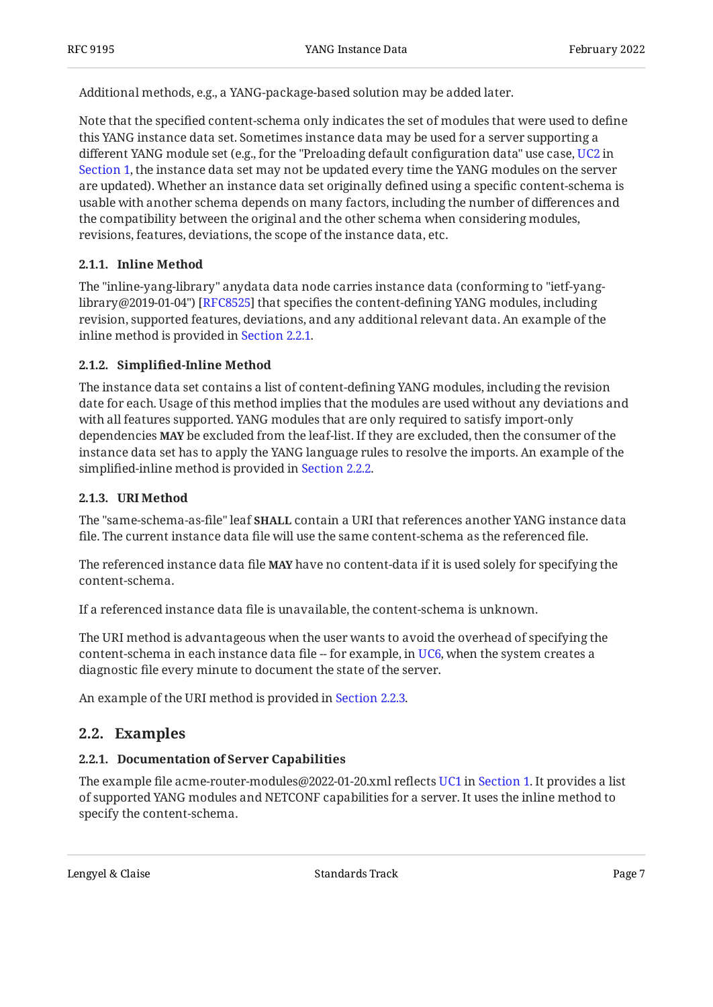Additional methods, e.g., a YANG-package-based solution may be added later.

Note that the specified content-schema only indicates the set of modules that were used to define this YANG instance data set. Sometimes instance data may be used for a server supporting a different YANG module set (e.g., for the "Preloading default configuration data" use case, [UC2](#page-2-3) in [Section 1,](#page-2-0) the instance data set may not be updated every time the YANG modules on the server are updated). Whether an instance data set originally defined using a specific content-schema is usable with another schema depends on many factors, including the number of differences and the compatibility between the original and the other schema when considering modules, revisions, features, deviations, the scope of the instance data, etc.

#### <span id="page-6-0"></span>**[2.1.1. Inline Method](#page-6-0)**

The "inline-yang-library" anydata data node carries instance data (conforming to "ietf-yang-library@2019-01-04") [\[RFC8525](#page-19-11)] that specifies the content-defining YANG modules, including revision, supported features, deviations, and any additional relevant data. An example of the inline method is provided in [Section 2.2.1.](#page-6-4)

#### <span id="page-6-1"></span>**[2.1.2. S](#page-6-1)implifi[ed-Inline Method](#page-6-1)**

The instance data set contains a list of content-defining YANG modules, including the revision date for each. Usage of this method implies that the modules are used without any deviations and with all features supported. YANG modules that are only required to satisfy import-only dependencies **MAY** be excluded from the leaf-list. If they are excluded, then the consumer of the instance data set has to apply the YANG language rules to resolve the imports. An example of the simplified-inline method is provided in [Section 2.2.2.](#page-9-0)

#### <span id="page-6-2"></span>**[2.1.3. URI Method](#page-6-2)**

The "same-schema-as-file" leaf **SHALL** contain a URI that references another YANG instance data file. The current instance data file will use the same content-schema as the referenced file.

The referenced instance data file **MAY** have no content-data if it is used solely for specifying the content-schema.

If a referenced instance data file is unavailable, the content-schema is unknown.

The URI method is advantageous when the user wants to avoid the overhead of specifying the content-schema in each instance data file -- for example, in [UC6](#page-2-4), when the system creates a diagnostic file every minute to document the state of the server.

<span id="page-6-3"></span>An example of the URI method is provided in [Section 2.2.3](#page-10-0).

### <span id="page-6-4"></span>**[2.2. Examples](#page-6-3)**

#### **[2.2.1. Documentation of Server Capabilities](#page-6-4)**

The example file acme-router-modules@2022-01-20.xml reflects [UC1](#page-2-5) in [Section 1.](#page-2-0) It provides a list of supported YANG modules and NETCONF capabilities for a server. It uses the inline method to specify the content-schema.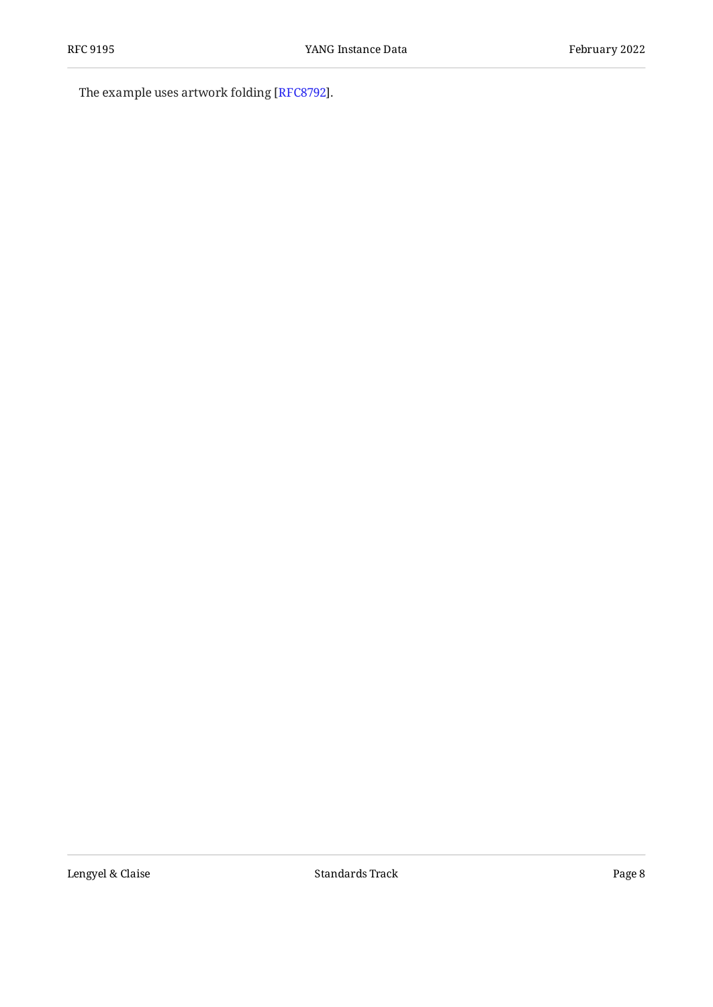The example uses artwork folding [\[RFC8792](#page-20-3)].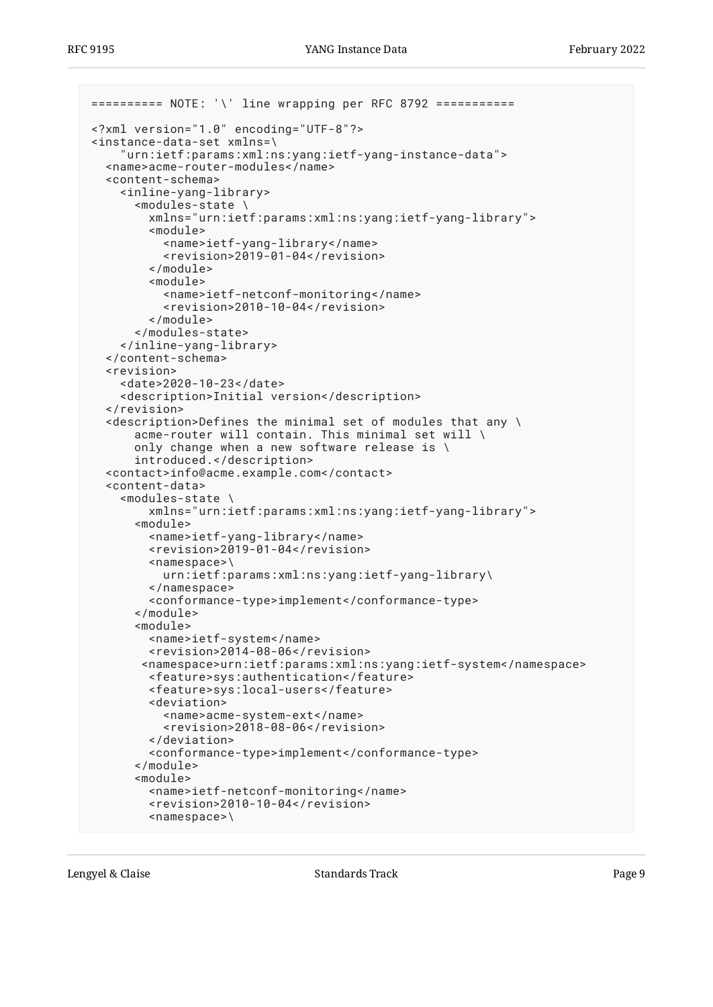```
========== NOTE: '\' line wrapping per RFC 8792 ===========
<?xml version="1.0" encoding="UTF-8"?>
<instance-data-set xmlns=\
     "urn:ietf:params:xml:ns:yang:ietf-yang-instance-data">
   <name>acme-router-modules</name>
   <content-schema>
     <inline-yang-library>
       <modules-state \
         xmlns="urn:ietf:params:xml:ns:yang:ietf-yang-library">
         <module>
           <name>ietf-yang-library</name>
           <revision>2019-01-04</revision>
         </module>
         <module>
           <name>ietf-netconf-monitoring</name>
           <revision>2010-10-04</revision>
        \langle/module>
       </modules-state>
     </inline-yang-library>
   </content-schema>
   <revision>
     <date>2020-10-23</date>
     <description>Initial version</description>
   </revision>
  \precdescription>Defines the minimal set of modules that any \
       acme-router will contain. This minimal set will \
       only change when a new software release is \
       introduced.</description>
   <contact>info@acme.example.com</contact>
   <content-data>
     <modules-state \
         xmlns="urn:ietf:params:xml:ns:yang:ietf-yang-library">
       <module>
         <name>ietf-yang-library</name>
         <revision>2019-01-04</revision>
         <namespace>\
           urn:ietf:params:xml:ns:yang:ietf-yang-library\
         </namespace>
         <conformance-type>implement</conformance-type>
       </module>
       <module>
         <name>ietf-system</name>
         <revision>2014-08-06</revision>
        <namespace>urn:ietf:params:xml:ns:yang:ietf-system</namespace>
         <feature>sys:authentication</feature>
         <feature>sys:local-users</feature>
         <deviation>
           <name>acme-system-ext</name>
           <revision>2018-08-06</revision>
         </deviation>
         <conformance-type>implement</conformance-type>
       </module>
       <module>
         <name>ietf-netconf-monitoring</name>
         <revision>2010-10-04</revision>
         <namespace>\
```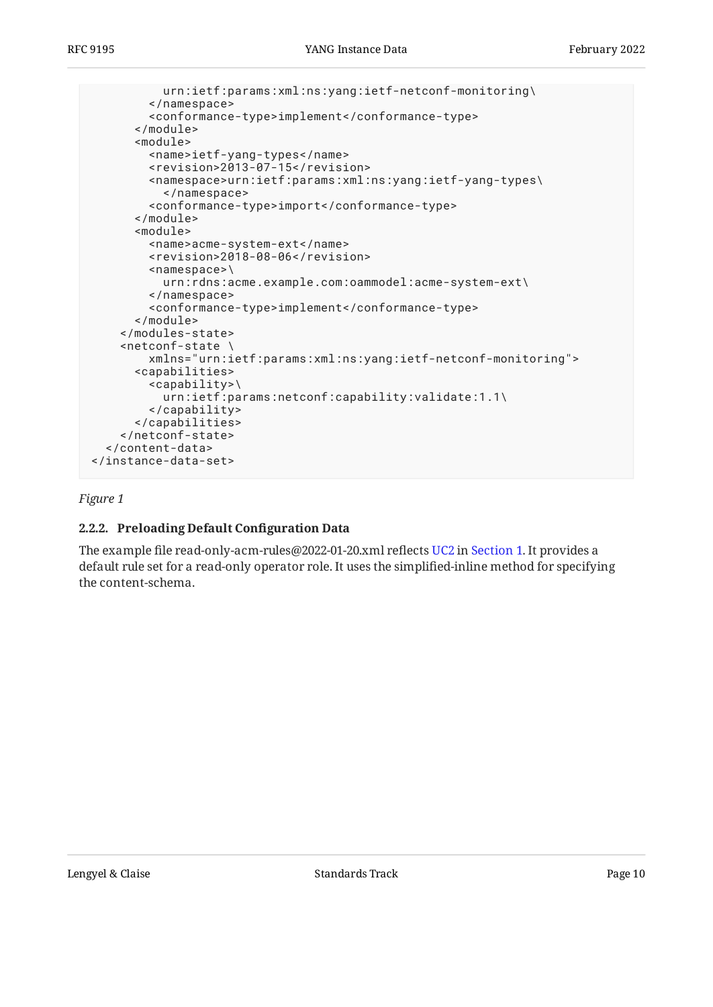```
 urn:ietf:params:xml:ns:yang:ietf-netconf-monitoring\
         </namespace>
         <conformance-type>implement</conformance-type>
       </module>
       <module>
         <name>ietf-yang-types</name>
         <revision>2013-07-15</revision>
         <namespace>urn:ietf:params:xml:ns:yang:ietf-yang-types\
           </namespace>
         <conformance-type>import</conformance-type>
       </module>
       <module>
         <name>acme-system-ext</name>
         <revision>2018-08-06</revision>
         <namespace>\
           urn:rdns:acme.example.com:oammodel:acme-system-ext\
         </namespace>
         <conformance-type>implement</conformance-type>
       </module>
     </modules-state>
     <netconf-state \
         xmlns="urn:ietf:params:xml:ns:yang:ietf-netconf-monitoring">
       <capabilities>
         <capability>\
           urn:ietf:params:netconf:capability:validate:1.1\
         </capability>
       </capabilities>
     </netconf-state>
   </content-data>
</instance-data-set>
```
#### <span id="page-9-0"></span>*[Figure 1](#page-8-0)*

#### **[2.2.2. Preloading Default Con](#page-9-0)figuration Data**

The example file read-only-acm-rules@2022-01-20.xml reflects [UC2](#page-2-3) in [Section 1.](#page-2-0) It provides a default rule set for a read-only operator role. It uses the simplified-inline method for specifying the content-schema.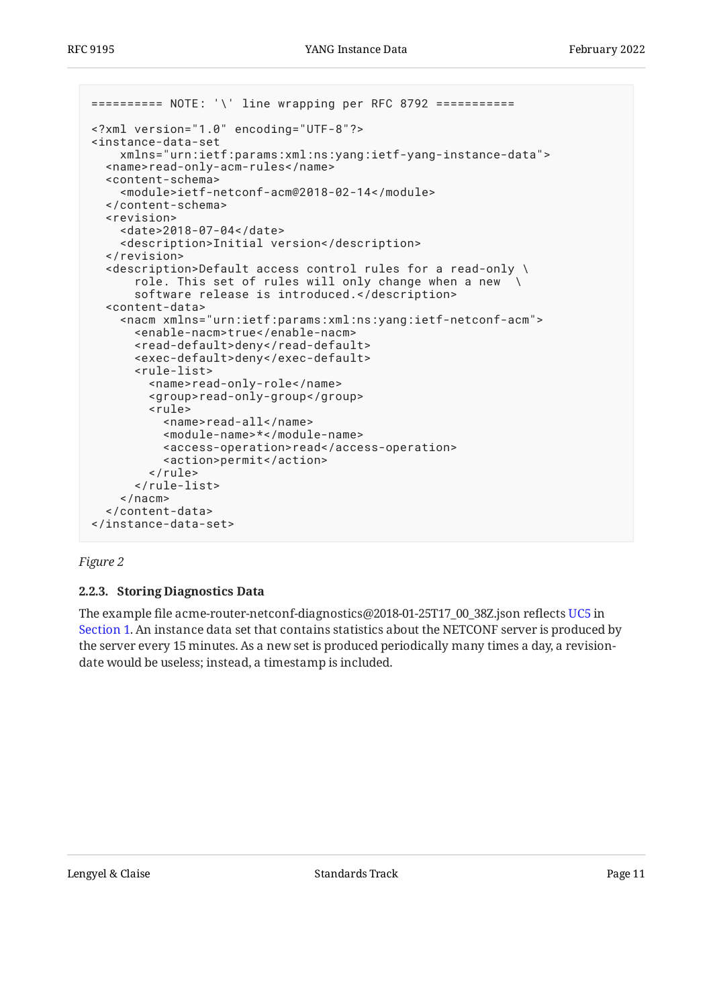```
========== NOTE: '\' line wrapping per RFC 8792 ===========
<?xml version="1.0" encoding="UTF-8"?>
<instance-data-set
     xmlns="urn:ietf:params:xml:ns:yang:ietf-yang-instance-data">
   <name>read-only-acm-rules</name>
   <content-schema>
     <module>ietf-netconf-acm@2018-02-14</module>
   </content-schema>
   <revision>
     <date>2018-07-04</date>
     <description>Initial version</description>
   </revision>
   <description>Default access control rules for a read-only \
       role. This set of rules will only change when a new \
       software release is introduced.</description>
   <content-data>
     <nacm xmlns="urn:ietf:params:xml:ns:yang:ietf-netconf-acm">
       <enable-nacm>true</enable-nacm>
       <read-default>deny</read-default>
       <exec-default>deny</exec-default>
       <rule-list>
         <name>read-only-role</name>
         <group>read-only-group</group>
         <rule>
           <name>read-all</name>
           <module-name>*</module-name>
           <access-operation>read</access-operation>
           <action>permit</action>
        \alpha/rule>
       </rule-list>
    </nacm> </content-data>
</instance-data-set>
```
#### <span id="page-10-0"></span>*[Figure 2](#page-10-1)*

#### **[2.2.3. Storing Diagnostics Data](#page-10-0)**

The example file acme-router-netconf-diagnostics@2018-01-25T17\_00\_38Z.json reflects [UC5](#page-2-2) in [Section 1.](#page-2-0) An instance data set that contains statistics about the NETCONF server is produced by the server every 15 minutes. As a new set is produced periodically many times a day, a revisiondate would be useless; instead, a timestamp is included.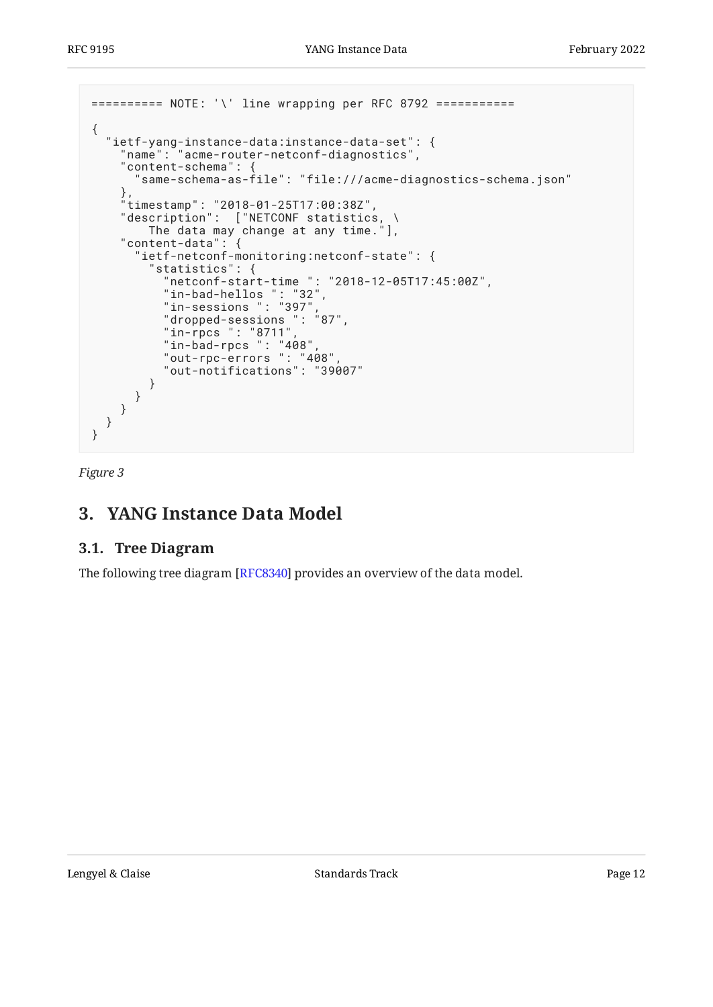```
========== NOTE: '\' line wrapping per RFC 8792 ===========
\left\{ \right. "ietf-yang-instance-data:instance-data-set": {
 "name": "acme-router-netconf-diagnostics",
     "content-schema": {
       "same-schema-as-file": "file:///acme-diagnostics-schema.json"
 },
 "timestamp": "2018-01-25T17:00:38Z",
     "description": ["NETCONF statistics, \
         The data may change at any time."],
     "content-data": {
       "ietf-netconf-monitoring:netconf-state": {
         "statistics": {
           "netconf-start-time ": "2018-12-05T17:45:00Z",
 "in-bad-hellos ": "32",
 "in-sessions ": "397",
           "dropped-sessions ": "87",
           "in-rpcs ": "8711",
           "in-bad-rpcs ": "408",
           "out-rpc-errors ": "408",
           "out-notifications": "39007"
         }
      }
    }
  }
}
```
<span id="page-11-0"></span>*[Figure 3](#page-11-2)*

## <span id="page-11-1"></span>**[3. YANG Instance Data Model](#page-11-0)**

### **[3.1. Tree Diagram](#page-11-1)**

The following tree diagram [RFC8340] provides an overview of the data model.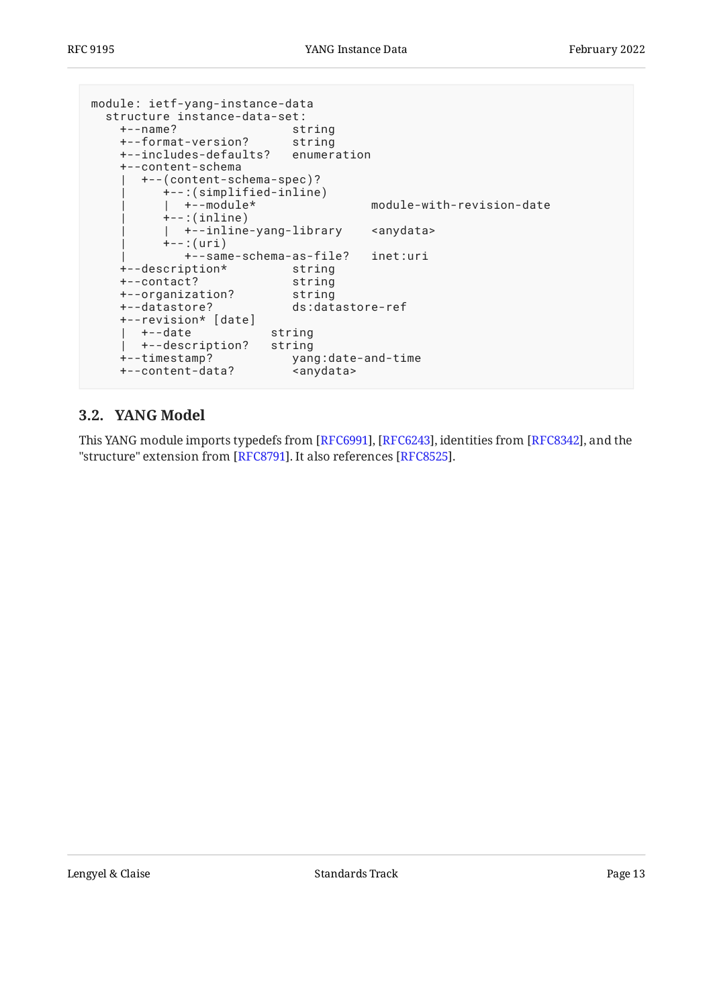```
module: ietf-yang-instance-data
  structure instance-data-set:
    +--name? string
    +--format-version? string
    +--includes-defaults? enumeration
    +--content-schema
       | +--(content-schema-spec)?
         | +--:(simplified-inline)
                                  module-with-revision-date
        +--:(inline)
         | | +--inline-yang-library <anydata>
        +--:(uri)
            | +--same-schema-as-file? inet:uri
    +--description* string
 +--contact? string
 +--organization? string
    +--datastore? ds:datastore-ref
    +--revision* [date]
    | +--date string
    | +--description? string
    +--timestamp? yang:date-and-time
    +--content-data? <anydata>
```
### <span id="page-12-0"></span>**[3.2. YANG Model](#page-12-0)**

This YANG module imports typedefs from [RFC6991], [RFC6243], identities from [RFC8342], and the "structure" extension from [RFC8791]. It also references [RFC8525].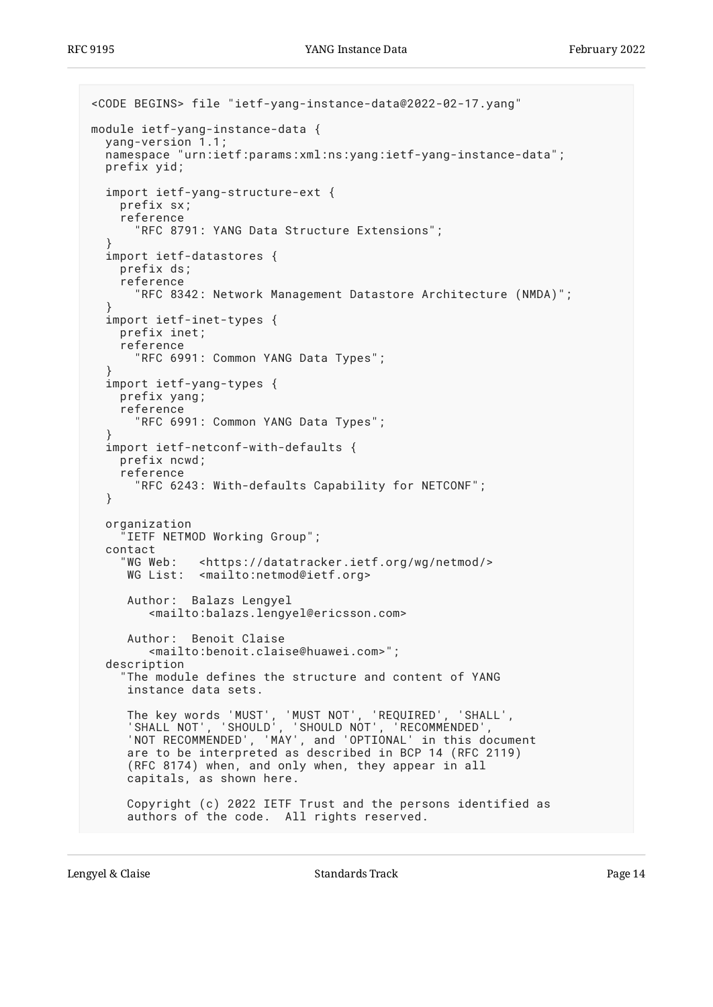```
<CODE BEGINS> file "ietf-yang-instance-data@2022-02-17.yang"
module ietf-yang-instance-data {
  yang-version 1.1;
   namespace "urn:ietf:params:xml:ns:yang:ietf-yang-instance-data";
   prefix yid;
   import ietf-yang-structure-ext {
     prefix sx;
     reference
       "RFC 8791: YANG Data Structure Extensions";
 }
   import ietf-datastores {
     prefix ds;
     reference
       "RFC 8342: Network Management Datastore Architecture (NMDA)";
 }
   import ietf-inet-types {
     prefix inet;
     reference
       "RFC 6991: Common YANG Data Types";
 }
   import ietf-yang-types {
     prefix yang;
     reference
       "RFC 6991: Common YANG Data Types";
 }
   import ietf-netconf-with-defaults {
     prefix ncwd;
     reference
       "RFC 6243: With-defaults Capability for NETCONF";
   }
   organization
      "IETF NETMOD Working Group";
   contact
     "WG Web: <https://datatracker.ietf.org/wg/netmod/>
     WG List: <mailto:netmod@ietf.org>
      Author: Balazs Lengyel
         <mailto:balazs.lengyel@ericsson.com>
      Author: Benoit Claise
         <mailto:benoit.claise@huawei.com>";
   description
     "The module defines the structure and content of YANG
      instance data sets.
 The key words 'MUST', 'MUST NOT', 'REQUIRED', 'SHALL',
 'SHALL NOT', 'SHOULD', 'SHOULD NOT', 'RECOMMENDED',
      'NOT RECOMMENDED', 'MAY', and 'OPTIONAL' in this document
      are to be interpreted as described in BCP 14 (RFC 2119)
      (RFC 8174) when, and only when, they appear in all
      capitals, as shown here.
      Copyright (c) 2022 IETF Trust and the persons identified as
      authors of the code. All rights reserved.
```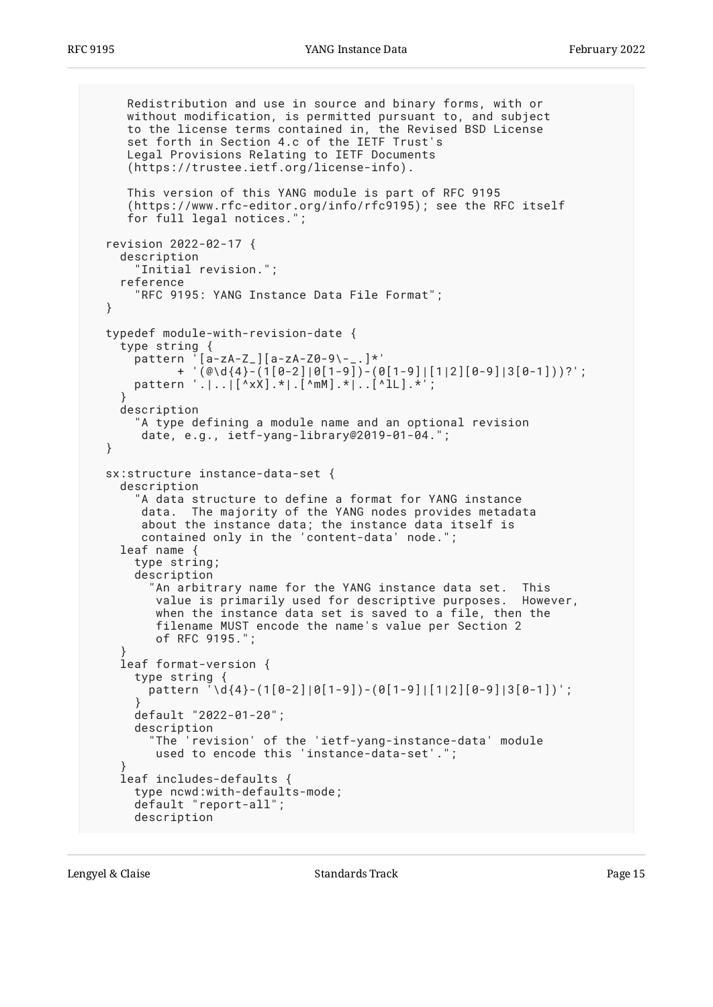```
 Redistribution and use in source and binary forms, with or
     without modification, is permitted pursuant to, and subject
     to the license terms contained in, the Revised BSD License
     set forth in Section 4.c of the IETF Trust's
     Legal Provisions Relating to IETF Documents
     (https://trustee.ietf.org/license-info).
     This version of this YANG module is part of RFC 9195
      (https://www.rfc-editor.org/info/rfc9195); see the RFC itself
     for full legal notices.";
  revision 2022-02-17 {
    description
       "Initial revision.";
    reference
       "RFC 9195: YANG Instance Data File Format";
  }
  typedef module-with-revision-date {
    type string {
      pattern '[a-zA-Z_][a-zA-Z0-9\-_.]*'
             + '(@\d{4}-(1[0-2]|0[1-9])-(0[1-9]|[1|2][0-9]|3[0-1]))?';
       pattern '.|..|[^xX].*|.[^mM].*|..[^lL].*';
 }
    description
       "A type defining a module name and an optional revision
      date, e.g., ietf-yang-library@2019-01-04.
  }
  sx:structure instance-data-set {
    description
       "A data structure to define a format for YANG instance
        data. The majority of the YANG nodes provides metadata
        about the instance data; the instance data itself is
       contained only in the 'content-data' node.";
    leaf name {
       type string;
      description
         "An arbitrary name for the YANG instance data set. This
          value is primarily used for descriptive purposes. However,
          when the instance data set is saved to a file, then the
          filename MUST encode the name's value per Section 2
          of RFC 9195.";
 }
    leaf format-version {
       type string {
        pattern '\d{4}-(1[0-2]|0[1-9])-(0[1-9]|[1|2][0-9]|3[0-1])';
 }
      default "2022-01-20";
      description
         "The 'revision' of the 'ietf-yang-instance-data' module
          used to encode this 'instance-data-set'.";
 }
    leaf includes-defaults {
      type ncwd:with-defaults-mode;
       default "report-all";
      description
```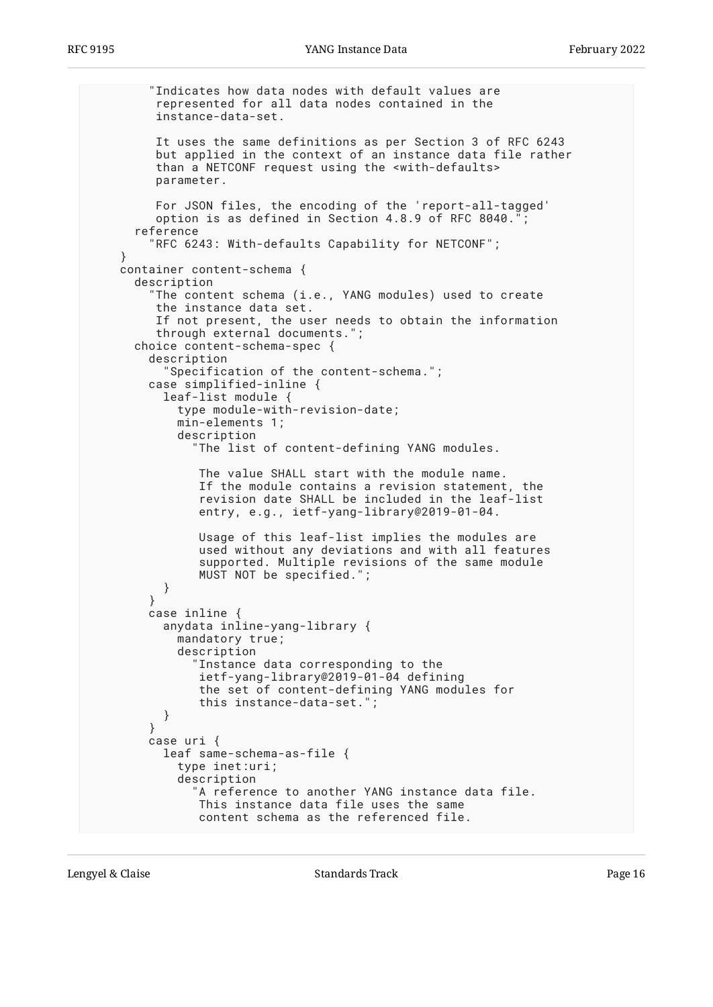```
 "Indicates how data nodes with default values are
          represented for all data nodes contained in the
          instance-data-set.
          It uses the same definitions as per Section 3 of RFC 6243
          but applied in the context of an instance data file rather
          than a NETCONF request using the <with-defaults>
          parameter.
          For JSON files, the encoding of the 'report-all-tagged'
         option is as defined in Section 4.8.9 of RFC 8040.
       reference
         "RFC 6243: With-defaults Capability for NETCONF";
 }
     container content-schema {
       description
          "The content schema (i.e., YANG modules) used to create
          the instance data set.
          If not present, the user needs to obtain the information
          through external documents.";
       choice content-schema-spec {
         description
           "Specification of the content-schema.";
         case simplified-inline {
           leaf-list module {
             type module-with-revision-date;
             min-elements 1;
             description
               "The list of content-defining YANG modules.
                The value SHALL start with the module name.
                If the module contains a revision statement, the
                revision date SHALL be included in the leaf-list
                entry, e.g., ietf-yang-library@2019-01-04.
                Usage of this leaf-list implies the modules are
                used without any deviations and with all features
                supported. Multiple revisions of the same module
                MUST NOT be specified.";
           }
         }
         case inline {
           anydata inline-yang-library {
             mandatory true;
             description
               Instance data corresponding to the
                ietf-yang-library@2019-01-04 defining
                the set of content-defining YANG modules for
                this instance-data-set.";
           }
         }
         case uri {
           leaf same-schema-as-file {
             type inet:uri;
             description
               A reference to another YANG instance data file.
                This instance data file uses the same
                content schema as the referenced file.
```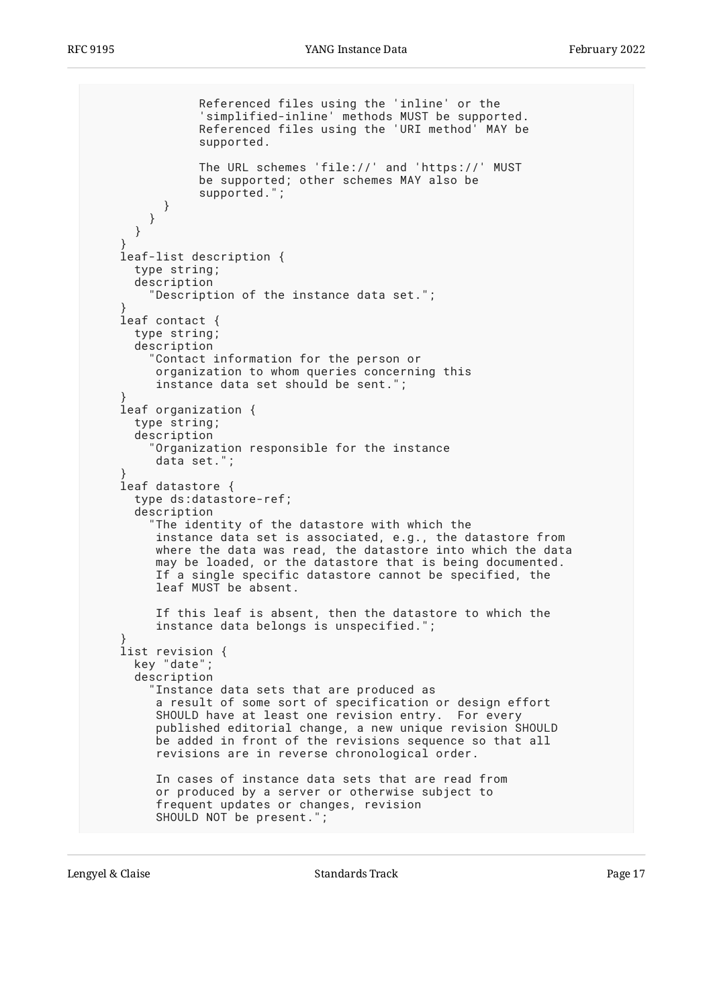```
 Referenced files using the 'inline' or the
                'simplified-inline' methods MUST be supported.
                Referenced files using the 'URI method' MAY be
                supported.
                The URL schemes 'file://' and 'https://' MUST
                be supported; other schemes MAY also be
                supported.";
          }
        }
      }
 }
    leaf-list description {
      type string;
      description
         "Description of the instance data set.";
 }
    leaf contact {
      type string;
       description
         "Contact information for the person or
          organization to whom queries concerning this
          instance data set should be sent.";
 }
    leaf organization {
      type string;
      description
         "Organization responsible for the instance
          data set.";
 }
    leaf datastore {
       type ds:datastore-ref;
       description
         "The identity of the datastore with which the
          instance data set is associated, e.g., the datastore from
          where the data was read, the datastore into which the data
          may be loaded, or the datastore that is being documented.
         If a single specific datastore cannot be specified, the
          leaf MUST be absent.
          If this leaf is absent, then the datastore to which the
          instance data belongs is unspecified.";
 }
    list revision {
      key "date";
       description
         "Instance data sets that are produced as
          a result of some sort of specification or design effort
          SHOULD have at least one revision entry. For every
          published editorial change, a new unique revision SHOULD
          be added in front of the revisions sequence so that all
          revisions are in reverse chronological order.
          In cases of instance data sets that are read from
          or produced by a server or otherwise subject to
          frequent updates or changes, revision
          SHOULD NOT be present.";
```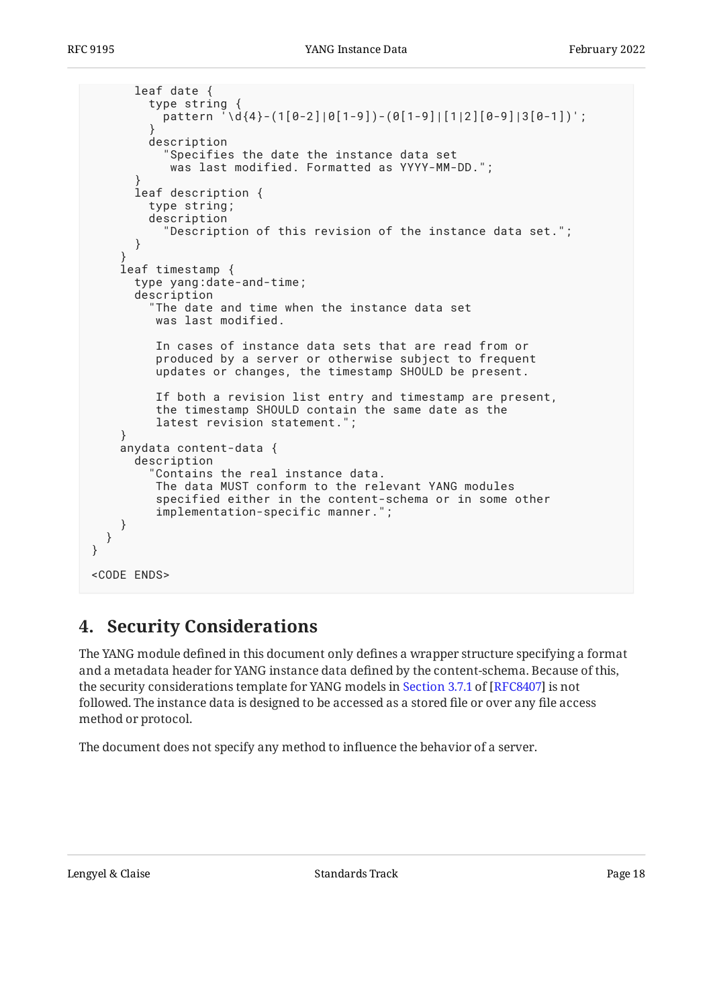```
 leaf date {
         type string {
          \frac{1}{2}pattern '\d{4}-(1[0-2]|0[1-9])-(0[1-9]|[1|2][0-9]|3[0-1])';
 }
         description
 "Specifies the date the instance data set
 was last modified. Formatted as YYYY-MM-DD.";
 }
       leaf description {
         type string;
         description
           "Description of this revision of the instance data set.";
       }
 }
     leaf timestamp {
       type yang:date-and-time;
       description
         "The date and time when the instance data set
          was last modified.
          In cases of instance data sets that are read from or
          produced by a server or otherwise subject to frequent
          updates or changes, the timestamp SHOULD be present.
          If both a revision list entry and timestamp are present,
          the timestamp SHOULD contain the same date as the
          latest revision statement.";
     }
     anydata content-data {
       description
         "Contains the real instance data.
          The data MUST conform to the relevant YANG modules
          specified either in the content-schema or in some other
          implementation-specific manner.";
     }
   }
}
<CODE ENDS>
```
## <span id="page-17-0"></span>**[4. Security Considerations](#page-17-0)**

The YANG module defined in this document only defines a wrapper structure specifying a format and a metadata header for YANG instance data defined by the content-schema. Because of this, thesecurity considerations template for YANG models in Section 3.7.1 of [RFC8407] is not followed. The instance data is designed to be accessed as a stored file or over any file access method or protocol.

The document does not specify any method to influence the behavior of a server.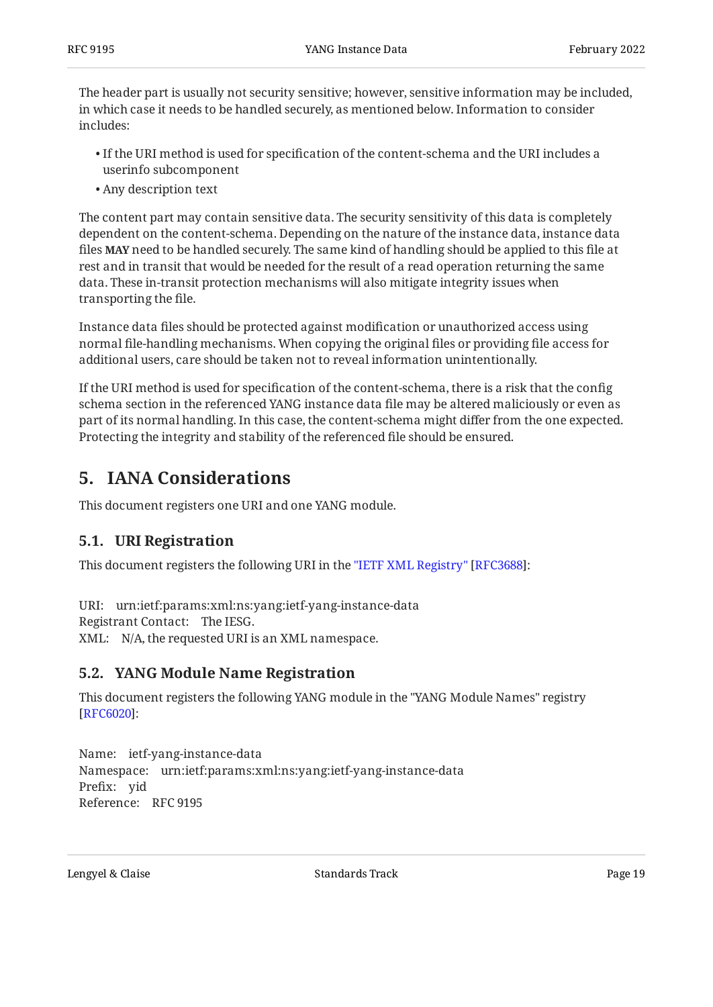The header part is usually not security sensitive; however, sensitive information may be included, in which case it needs to be handled securely, as mentioned below. Information to consider includes:

- $\bullet$  If the URI method is used for specification of the content-schema and the URI includes a userinfo subcomponent
- Any description text •

The content part may contain sensitive data. The security sensitivity of this data is completely dependent on the content-schema. Depending on the nature of the instance data, instance data files **MAY** need to be handled securely. The same kind of handling should be applied to this file at rest and in transit that would be needed for the result of a read operation returning the same data. These in-transit protection mechanisms will also mitigate integrity issues when transporting the file.

Instance data files should be protected against modification or unauthorized access using normal file-handling mechanisms. When copying the original files or providing file access for additional users, care should be taken not to reveal information unintentionally.

If the URI method is used for specification of the content-schema, there is a risk that the config schema section in the referenced YANG instance data file may be altered maliciously or even as part of its normal handling. In this case, the content-schema might differ from the one expected. Protecting the integrity and stability of the referenced file should be ensured.

## <span id="page-18-0"></span>**[5. IANA Considerations](#page-18-0)**

<span id="page-18-1"></span>This document registers one URI and one YANG module.

### **[5.1. URI Registration](#page-18-1)**

Thisdocument registers the following URI in the "IETF XML Registry" [RFC3688]:

URI: urn:ietf:params:xml:ns:yang:ietf-yang-instance-data Registrant Contact: The IESG. XML: N/A, the requested URI is an XML namespace.

### <span id="page-18-2"></span>**[5.2. YANG Module Name Registration](#page-18-2)**

This document registers the following YANG module in the "YANG Module Names" registry : [[RFC6020\]](#page-19-13)

Name: ietf-yang-instance-data Namespace: urn:ietf:params:xml:ns:yang:ietf-yang-instance-data Prefix: yid Reference: RFC 9195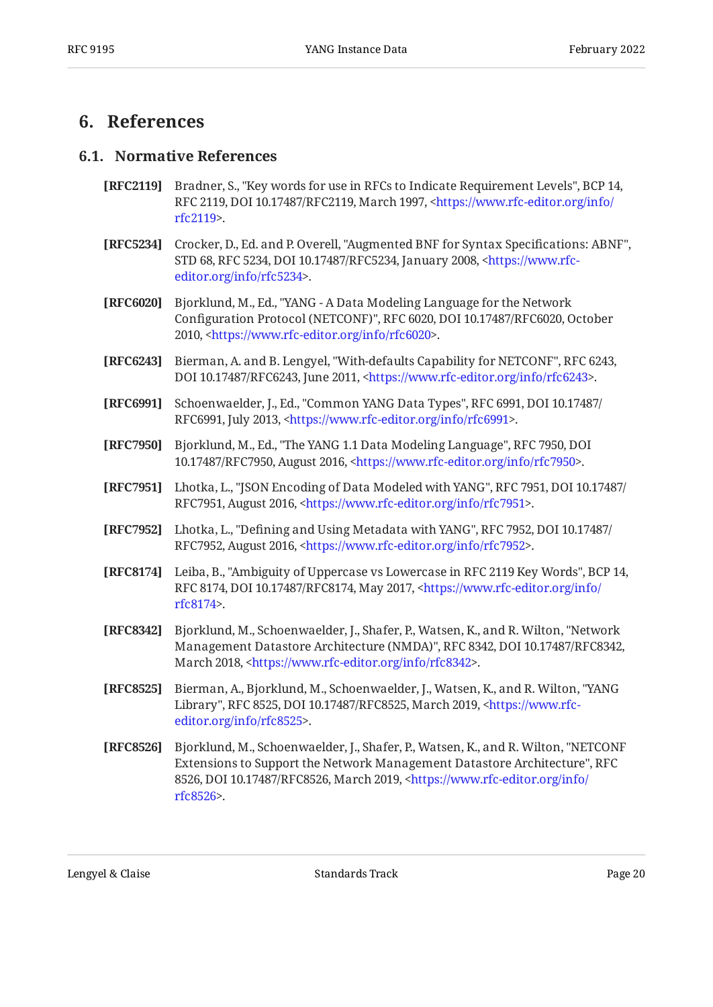## <span id="page-19-1"></span><span id="page-19-0"></span>**[6. References](#page-19-0)**

#### **[6.1. Normative References](#page-19-1)**

- <span id="page-19-3"></span>**[RFC2119]** Bradner, S., "Key words for use in RFCs to Indicate Requirement Levels", BCP 14, RFC 2119, DOI 10.17487/RFC2119, March 1997, [<https://www.rfc-editor.org/info/](https://www.rfc-editor.org/info/rfc2119) . [rfc2119](https://www.rfc-editor.org/info/rfc2119)>
- <span id="page-19-9"></span>**[RFC5234]** Crocker, D., Ed. and P. Overell, "Augmented BNF for Syntax Specifications: ABNF", STD 68, RFC 5234, DOI 10.17487/RFC5234, January 2008, <[https://www.rfc-](https://www.rfc-editor.org/info/rfc5234). [editor.org/info/rfc5234](https://www.rfc-editor.org/info/rfc5234)>
- <span id="page-19-13"></span>**[RFC6020]** , Bjorklund, M., Ed. "YANG - A Data Modeling Language for the Network Configuration Protocol (NETCONF)", RFC 6020, DOI 10.17487/RFC6020, October 2010, <https://www.rfc-editor.org/info/rfc6020>.
- <span id="page-19-10"></span>**[RFC6243]** Bierman, A. and B. Lengyel, "With-defaults Capability for NETCONF", RFC 6243, DOI 10.17487/RFC6243, June 2011, <https://www.rfc-editor.org/info/rfc6243>.
- <span id="page-19-12"></span>**[RFC6991]** Schoenwaelder, J., Ed., "Common YANG Data Types", RFC 6991, DOI 10.17487/ RFC6991, July 2013, <https://www.rfc-editor.org/info/rfc6991>.
- <span id="page-19-5"></span>**[RFC7950]** Bjorklund, M., Ed., "The YANG 1.1 Data Modeling Language", RFC 7950, DOI 10.17487/RFC7950, August 2016, <https://www.rfc-editor.org/info/rfc7950>.
- <span id="page-19-6"></span>**[RFC7951]** Lhotka, L., "JSON Encoding of Data Modeled with YANG", RFC 7951, DOI 10.17487/ RFC7951, August 2016, [<https://www.rfc-editor.org/info/rfc7951](https://www.rfc-editor.org/info/rfc7951)>.
- <span id="page-19-7"></span>**[RFC7952]** Lhotka, L., "Defining and Using Metadata with YANG", RFC 7952, DOI 10.17487/ RFC7952, August 2016, [<https://www.rfc-editor.org/info/rfc7952](https://www.rfc-editor.org/info/rfc7952)>.
- <span id="page-19-4"></span>**[RFC8174]** Leiba, B., "Ambiguity of Uppercase vs Lowercase in RFC 2119 Key Words", BCP 14, RFC 8174, DOI 10.17487/RFC8174, May 2017, <[https://www.rfc-editor.org/info/](https://www.rfc-editor.org/info/rfc8174) . [rfc8174](https://www.rfc-editor.org/info/rfc8174)>
- <span id="page-19-2"></span>**[RFC8342]** Bjorklund, M., Schoenwaelder, J., Shafer, P., Watsen, K., and R. Wilton, "Network Management Datastore Architecture (NMDA)", RFC 8342, DOI 10.17487/RFC8342, March 2018, <https://www.rfc-editor.org/info/rfc8342>.
- <span id="page-19-11"></span>**[RFC8525]** Bierman, A., Bjorklund, M., Schoenwaelder, J., Watsen, K., and R. Wilton, "YANG Library", RFC 8525, DOI 10.17487/RFC8525, March 2019, [<https://www.rfc-](https://www.rfc-editor.org/info/rfc8525). [editor.org/info/rfc8525](https://www.rfc-editor.org/info/rfc8525)>
- <span id="page-19-8"></span>**[RFC8526]** Bjorklund, M., Schoenwaelder, J., Shafer, P., Watsen, K., and R. Wilton, "NETCONF , Extensions to Support the Network Management Datastore Architecture" RFC 8526, DOI 10.17487/RFC8526, March 2019, [<https://www.rfc-editor.org/info/](https://www.rfc-editor.org/info/rfc8526) . [rfc8526](https://www.rfc-editor.org/info/rfc8526)>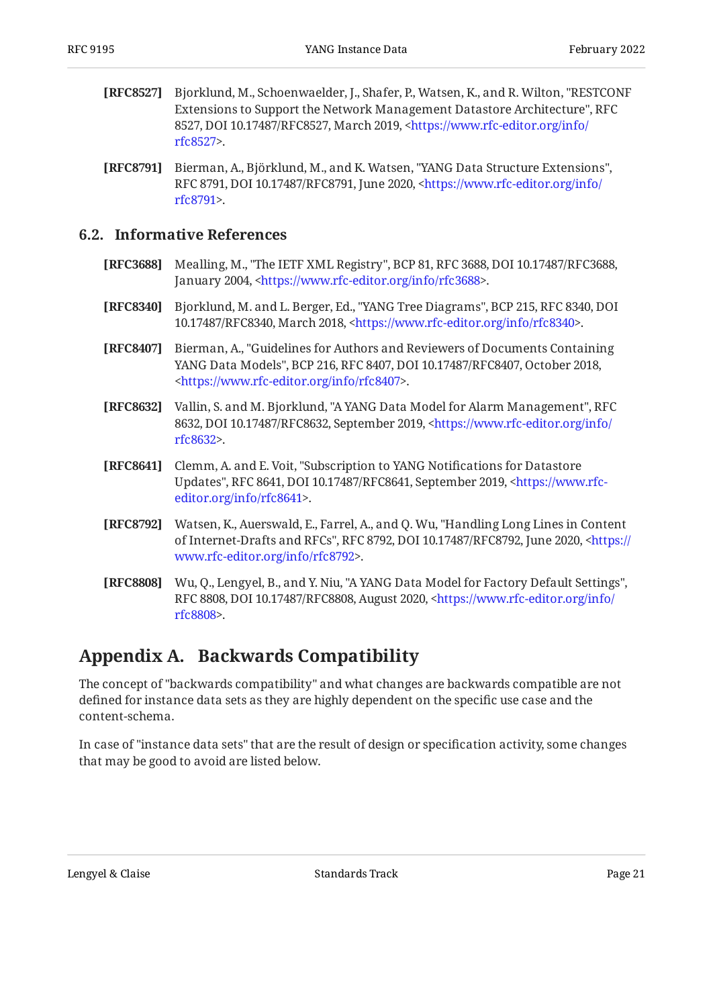- <span id="page-20-2"></span>**[RFC8527]** Bjorklund, M., Schoenwaelder, J., Shafer, P., Watsen, K., and R. Wilton, "RESTCONF , Extensions to Support the Network Management Datastore Architecture" RFC 8527, DOI 10.17487/RFC8527, March 2019, [<https://www.rfc-editor.org/info/](https://www.rfc-editor.org/info/rfc8527) . [rfc8527](https://www.rfc-editor.org/info/rfc8527)>
- <span id="page-20-5"></span>[RFC8791] Bierman, A., Björklund, M., and K. Watsen, "YANG Data Structure Extensions", RFC 8791, DOI 10.17487/RFC8791, June 2020, [<https://www.rfc-editor.org/info/](https://www.rfc-editor.org/info/rfc8791) . [rfc8791](https://www.rfc-editor.org/info/rfc8791)>

#### <span id="page-20-0"></span>**[6.2. Informative References](#page-20-0)**

- <span id="page-20-7"></span>**[RFC3688]** Mealling, M., "The IETF XML Registry", BCP 81, RFC 3688, DOI 10.17487/RFC3688, January 2004, <https://www.rfc-editor.org/info/rfc3688>.
- <span id="page-20-4"></span>**[RFC8340]** Bjorklund, M. and L. Berger, Ed., "YANG Tree Diagrams", BCP 215, RFC 8340, DOI 10.17487/RFC8340, March 2018, <https://www.rfc-editor.org/info/rfc8340>.
- <span id="page-20-6"></span>**[RFC8407]** , Bierman, A. "Guidelines for Authors and Reviewers of Documents Containing YANG Data Models", BCP 216, RFC 8407, DOI 10.17487/RFC8407, October 2018, . [<https://www.rfc-editor.org/info/rfc8407](https://www.rfc-editor.org/info/rfc8407)>
- <span id="page-20-8"></span>**[RFC8632]** Vallin, S. and M. Bjorklund, "A YANG Data Model for Alarm Management", RFC 8632, DOI 10.17487/RFC8632, September 2019, [<https://www.rfc-editor.org/info/](https://www.rfc-editor.org/info/rfc8632) . [rfc8632](https://www.rfc-editor.org/info/rfc8632)>
- <span id="page-20-9"></span>**[RFC8641]** Clemm, A. and E. Voit, "Subscription to YANG Notifications for Datastore Updates", RFC 8641, DOI 10.17487/RFC8641, September 2019, [<https://www.rfc-](https://www.rfc-editor.org/info/rfc8641). [editor.org/info/rfc8641](https://www.rfc-editor.org/info/rfc8641)>
- <span id="page-20-3"></span>**[RFC8792]** Watsen, K., Auerswald, E., Farrel, A., and Q. Wu, "Handling Long Lines in Content of Internet-Drafts and RFCs", RFC 8792, DOI 10.17487/RFC8792, June 2020, [<https://](https://www.rfc-editor.org/info/rfc8792) . [www.rfc-editor.org/info/rfc8792>](https://www.rfc-editor.org/info/rfc8792)
- <span id="page-20-10"></span>**[RFC8808]** Wu, Q., Lengyel, B., and Y. Niu, "A YANG Data Model for Factory Default Settings", RFC 8808, DOI 10.17487/RFC8808, August 2020, [<https://www.rfc-editor.org/info/](https://www.rfc-editor.org/info/rfc8808) . [rfc8808](https://www.rfc-editor.org/info/rfc8808)>

## <span id="page-20-1"></span>**[Appendix A. Backwards Compatibility](#page-20-1)**

The concept of "backwards compatibility" and what changes are backwards compatible are not defined for instance data sets as they are highly dependent on the specific use case and the content-schema.

In case of "instance data sets" that are the result of design or specification activity, some changes that may be good to avoid are listed below.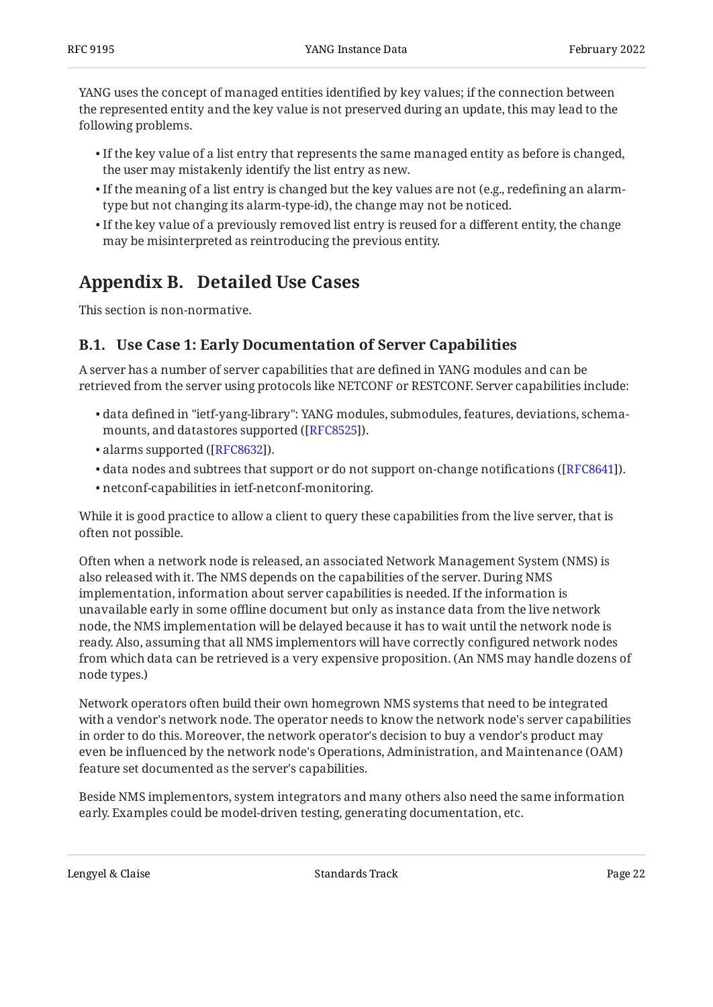YANG uses the concept of managed entities identified by key values; if the connection between the represented entity and the key value is not preserved during an update, this may lead to the following problems.

- $\bullet$  If the key value of a list entry that represents the same managed entity as before is changed, the user may mistakenly identify the list entry as new.
- $\bullet$  If the meaning of a list entry is changed but the key values are not (e.g., redefining an alarmtype but not changing its alarm-type-id), the change may not be noticed.
- $\bullet$  If the key value of a previously removed list entry is reused for a different entity, the change may be misinterpreted as reintroducing the previous entity.

## <span id="page-21-0"></span>**[Appendix B. Detailed Use Cases](#page-21-0)**

<span id="page-21-1"></span>This section is non-normative.

### **[B.1. Use Case 1: Early Documentation of Server Capabilities](#page-21-1)**

A server has a number of server capabilities that are defined in YANG modules and can be retrieved from the server using protocols like NETCONF or RESTCONF. Server capabilities include:

- data defined in "ietf-yang-library": YANG modules, submodules, features, deviations, schema-• mounts, and datastores supported ([\[RFC8525](#page-19-11)]).
- alarms supported ([RFC8632]).
- $\bullet$  data nodes and subtrees that support or do not support on-change notifications ([RFC8641]).
- netconf-capabilities in ietf-netconf-monitoring. •

While it is good practice to allow a client to query these capabilities from the live server, that is often not possible.

Often when a network node is released, an associated Network Management System (NMS) is also released with it. The NMS depends on the capabilities of the server. During NMS implementation, information about server capabilities is needed. If the information is unavailable early in some offline document but only as instance data from the live network node, the NMS implementation will be delayed because it has to wait until the network node is ready. Also, assuming that all NMS implementors will have correctly configured network nodes from which data can be retrieved is a very expensive proposition. (An NMS may handle dozens of node types.)

Network operators often build their own homegrown NMS systems that need to be integrated with a vendor's network node. The operator needs to know the network node's server capabilities in order to do this. Moreover, the network operator's decision to buy a vendor's product may even be influenced by the network node's Operations, Administration, and Maintenance (OAM) feature set documented as the server's capabilities.

Beside NMS implementors, system integrators and many others also need the same information early. Examples could be model-driven testing, generating documentation, etc.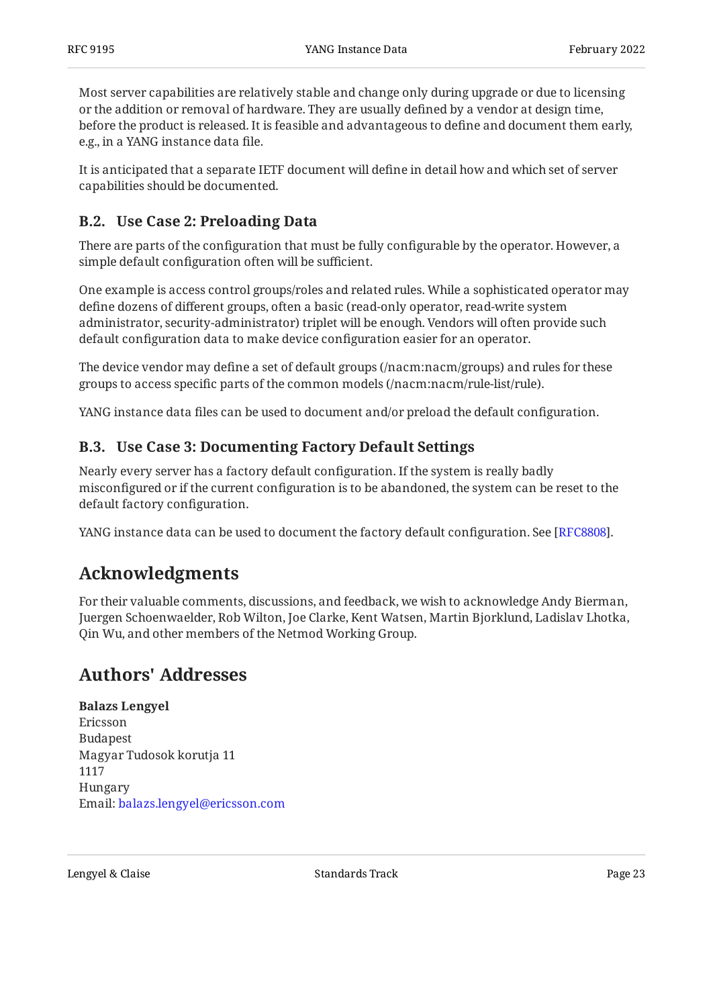Most server capabilities are relatively stable and change only during upgrade or due to licensing or the addition or removal of hardware. They are usually defined by a vendor at design time, before the product is released. It is feasible and advantageous to define and document them early, e.g., in a YANG instance data file.

It is anticipated that a separate IETF document will define in detail how and which set of server capabilities should be documented.

## <span id="page-22-0"></span>**[B.2. Use Case 2: Preloading Data](#page-22-0)**

There are parts of the configuration that must be fully configurable by the operator. However, a simple default configuration often will be sufficient.

One example is access control groups/roles and related rules. While a sophisticated operator may define dozens of different groups, often a basic (read-only operator, read-write system administrator, security-administrator) triplet will be enough. Vendors will often provide such default configuration data to make device configuration easier for an operator.

The device vendor may define a set of default groups (/nacm:nacm/groups) and rules for these groups to access specific parts of the common models (/nacm:nacm/rule-list/rule).

<span id="page-22-1"></span>YANG instance data files can be used to document and/or preload the default configuration.

### **[B.3. Use Case 3: Documenting Factory Default Settings](#page-22-1)**

Nearly every server has a factory default configuration. If the system is really badly misconfigured or if the current configuration is to be abandoned, the system can be reset to the default factory configuration.

<span id="page-22-2"></span>YANG instance data can be used to document the factory default configuration. See [\[RFC8808](#page-20-10)].

## **[Acknowledgments](#page-22-2)**

For their valuable comments, discussions, and feedback, we wish to acknowledge Andy Bierman, Juergen Schoenwaelder, Rob Wilton, Joe Clarke, Kent Watsen, Martin Bjorklund, Ladislav Lhotka, Qin Wu, and other members of the Netmod Working Group.

## <span id="page-22-3"></span>**[Authors' Addresses](#page-22-3)**

**Balazs Lengyel** Ericsson Budapest Magyar Tudosok korutja 11 1117 Hungary Email: [balazs.lengyel@ericsson.com](mailto:balazs.lengyel@ericsson.com)